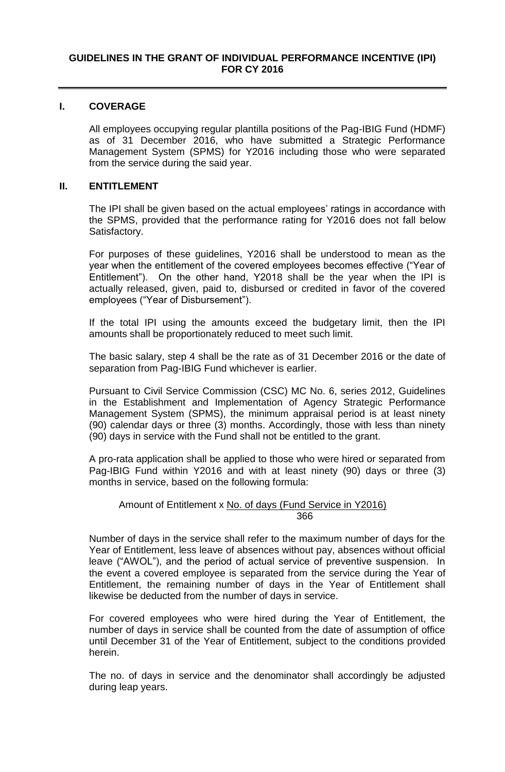## **I. COVERAGE**

All employees occupying regular plantilla positions of the Pag-IBIG Fund (HDMF) as of 31 December 2016, who have submitted a Strategic Performance Management System (SPMS) for Y2016 including those who were separated from the service during the said year.

## **II. ENTITLEMENT**

The IPI shall be given based on the actual employees' ratings in accordance with the SPMS, provided that the performance rating for Y2016 does not fall below Satisfactory.

For purposes of these guidelines, Y2016 shall be understood to mean as the year when the entitlement of the covered employees becomes effective ("Year of Entitlement"). On the other hand, Y2018 shall be the year when the IPI is actually released, given, paid to, disbursed or credited in favor of the covered employees ("Year of Disbursement").

If the total IPI using the amounts exceed the budgetary limit, then the IPI amounts shall be proportionately reduced to meet such limit.

The basic salary, step 4 shall be the rate as of 31 December 2016 or the date of separation from Pag-IBIG Fund whichever is earlier.

Pursuant to Civil Service Commission (CSC) MC No. 6, series 2012, Guidelines in the Establishment and Implementation of Agency Strategic Performance Management System (SPMS), the minimum appraisal period is at least ninety (90) calendar days or three (3) months. Accordingly, those with less than ninety (90) days in service with the Fund shall not be entitled to the grant.

A pro-rata application shall be applied to those who were hired or separated from Pag-IBIG Fund within Y2016 and with at least ninety (90) days or three (3) months in service, based on the following formula:

## Amount of Entitlement x No. of days (Fund Service in Y2016) <u>366 میں اس کا 1988 میں اس کا 1988 میں اس کا 1988 میں اس کا 1988 میں اس کا 1988 میں اس</u>

Number of days in the service shall refer to the maximum number of days for the Year of Entitlement, less leave of absences without pay, absences without official leave ("AWOL"), and the period of actual service of preventive suspension. In the event a covered employee is separated from the service during the Year of Entitlement, the remaining number of days in the Year of Entitlement shall likewise be deducted from the number of days in service.

For covered employees who were hired during the Year of Entitlement, the number of days in service shall be counted from the date of assumption of office until December 31 of the Year of Entitlement, subject to the conditions provided herein.

The no. of days in service and the denominator shall accordingly be adjusted during leap years.